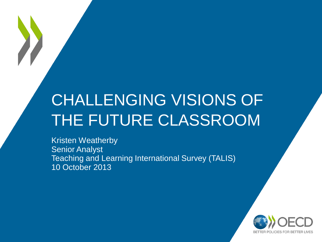### CHALLENGING VISIONS OF THE FUTURE CLASSROOM

Kristen Weatherby Senior Analyst Teaching and Learning International Survey (TALIS) 10 October 2013

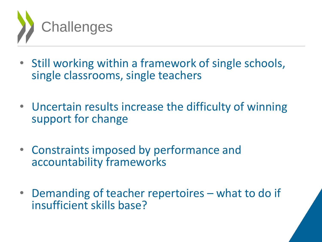

- Still working within a framework of single schools, single classrooms, single teachers
- Uncertain results increase the difficulty of winning support for change
- Constraints imposed by performance and accountability frameworks
- Demanding of teacher repertoires what to do if insufficient skills base?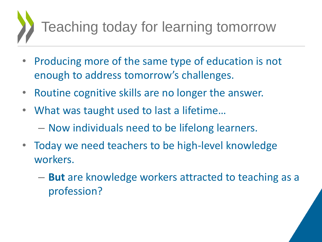# Teaching today for learning tomorrow

- Producing more of the same type of education is not enough to address tomorrow's challenges.
- Routine cognitive skills are no longer the answer.
- What was taught used to last a lifetime…
	- Now individuals need to be lifelong learners.
- Today we need teachers to be high-level knowledge workers.
	- **But** are knowledge workers attracted to teaching as a profession?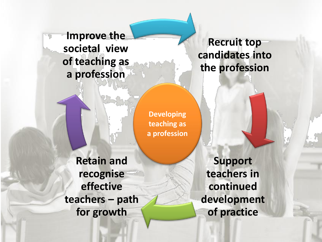**Improve the societal view of teaching as a profession**

**Recruit top candidates into the profession**

**Developing teaching as a profession**

**Retain and recognise effective teachers – path for growth**

**Support teachers in continued development of practice**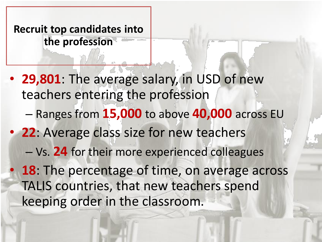**Recruit top candidates into the profession**

• **29,801**: The average salary, in USD of new teachers entering the profession – Ranges from **15,000** to above **40,000** across EU • **22**: Average class size for new teachers – Vs. **24** for their more experienced colleagues • **18**: The percentage of time, on average across TALIS countries, that new teachers spend keeping order in the classroom.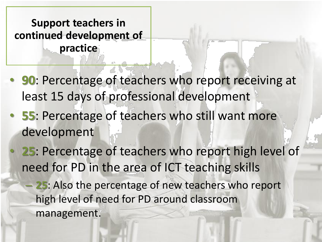**Support teachers in continued development of practice**

- **90**: Percentage of teachers who report receiving at least 15 days of professional development
- **55**: Percentage of teachers who still want more development
- **25**: Percentage of teachers who report high level of need for PD in the area of ICT teaching skills
	- **25**: Also the percentage of new teachers who report high level of need for PD around classroom management.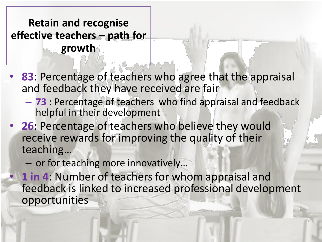**Retain and recognise effective teachers – path for growth**

- **83**: Percentage of teachers who agree that the appraisal and feedback they have received are fair
	- **73** : Percentage of teachers who find appraisal and feedback helpful in their development
- **26**: Percentage of teachers who believe they would receive rewards for improving the quality of their teaching…
	- or for teaching more innovatively…
- **1 in 4**: Number of teachers for whom appraisal and feedback is linked to increased professional development opportunities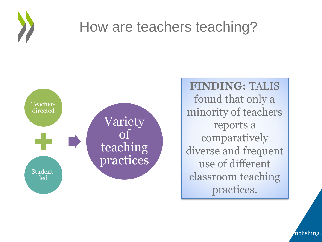

#### How are teachers teaching?



**FINDING:** TALIS found that only a minority of teachers reports a comparatively diverse and frequent use of different classroom teaching practices.

From Vieluf, S., et al. (2012), *Teaching Practices and Pedagogical Innovations: Evidence from Talishing.*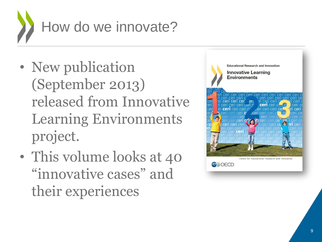

- New publication (September 2013) released from Innovative Learning Environments project.
- This volume looks at 40 "innovative cases" and their experiences

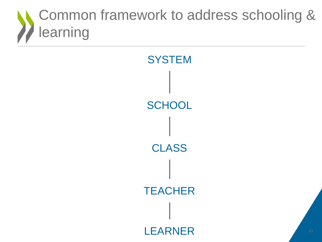#### Common framework to address schooling & learning

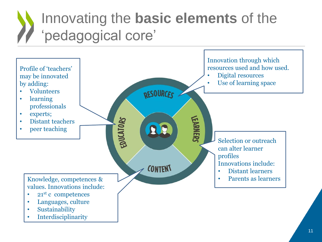#### Innovating the **basic elements** of the 'pedagogical core'

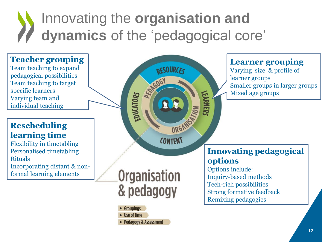#### Innovating the **organisation and dynamics** of the 'pedagogical core'



**Pedagogy & Assessment**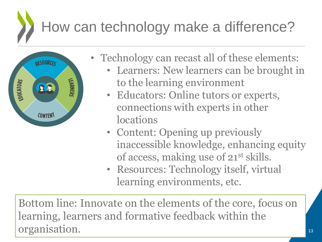## How can technology make a difference?



- Technology can recast all of these elements:
	- Learners: New learners can be brought in to the learning environment
	- Educators: Online tutors or experts, connections with experts in other locations
	- Content: Opening up previously inaccessible knowledge, enhancing equity of access, making use of 21<sup>st</sup> skills.
	- Resources: Technology itself, virtual learning environments, etc.

Bottom line: Innovate on the elements of the core, focus on learning, learners and formative feedback within the organisation.